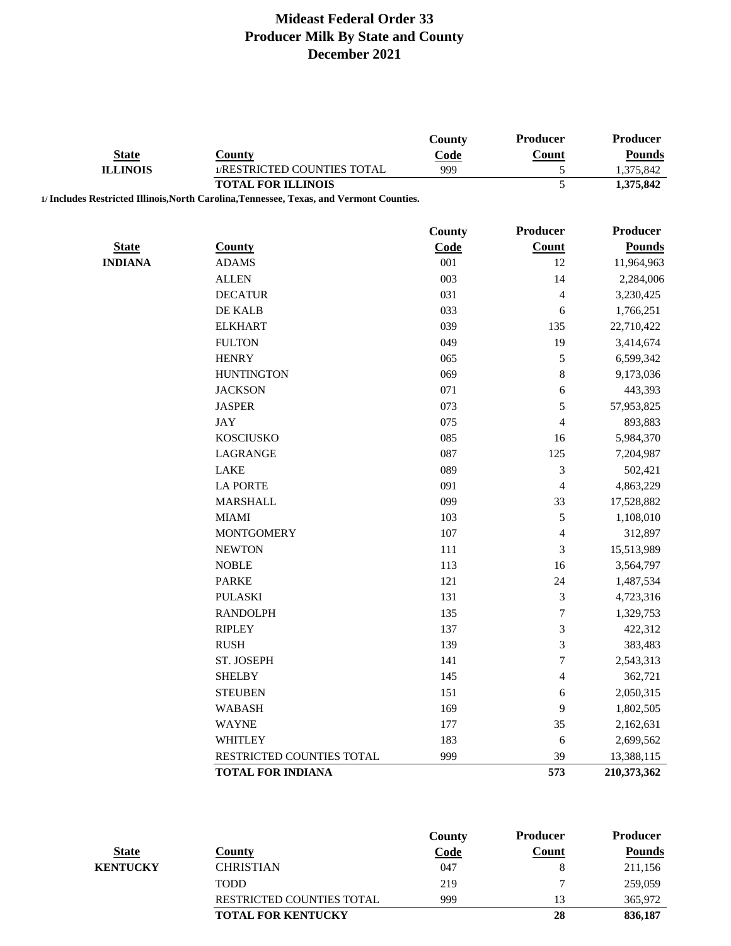|                                |                                                                                          | County        | Producer                | Producer                    |
|--------------------------------|------------------------------------------------------------------------------------------|---------------|-------------------------|-----------------------------|
| <b>State</b>                   | <b>County</b>                                                                            | Code          | Count                   | <b>Pounds</b>               |
| <b>ILLINOIS</b>                | 1/RESTRICTED COUNTIES TOTAL                                                              | 999           | 5                       | 1,375,842                   |
|                                | <b>TOTAL FOR ILLINOIS</b>                                                                |               | 5                       | 1,375,842                   |
|                                | 1/ Includes Restricted Illinois, North Carolina, Tennessee, Texas, and Vermont Counties. |               |                         |                             |
|                                |                                                                                          |               |                         |                             |
|                                |                                                                                          | <b>County</b> | Producer                | Producer                    |
| <b>State</b><br><b>INDIANA</b> | <b>County</b><br><b>ADAMS</b>                                                            | Code<br>001   | Count<br>12             | <b>Pounds</b><br>11,964,963 |
|                                | <b>ALLEN</b>                                                                             | 003           | 14                      |                             |
|                                |                                                                                          | 031           |                         | 2,284,006                   |
|                                | <b>DECATUR</b><br>DE KALB                                                                | 033           | 4                       | 3,230,425                   |
|                                |                                                                                          |               | 6                       | 1,766,251                   |
|                                | <b>ELKHART</b><br><b>FULTON</b>                                                          | 039<br>049    | 135<br>19               | 22,710,422                  |
|                                |                                                                                          |               |                         | 3,414,674                   |
|                                | <b>HENRY</b>                                                                             | 065           | $\mathfrak s$           | 6,599,342                   |
|                                | <b>HUNTINGTON</b>                                                                        | 069           | 8                       | 9,173,036                   |
|                                | <b>JACKSON</b>                                                                           | 071           | 6                       | 443,393                     |
|                                | <b>JASPER</b>                                                                            | 073           | 5                       | 57,953,825                  |
|                                | <b>JAY</b>                                                                               | 075           | $\overline{\mathbf{4}}$ | 893,883                     |
|                                | <b>KOSCIUSKO</b>                                                                         | 085           | 16                      | 5,984,370                   |
|                                | <b>LAGRANGE</b>                                                                          | 087           | 125                     | 7,204,987                   |
|                                | LAKE                                                                                     | 089           | $\mathfrak{Z}$          | 502,421                     |
|                                | <b>LA PORTE</b>                                                                          | 091           | 4                       | 4,863,229                   |
|                                | <b>MARSHALL</b>                                                                          | 099           | 33                      | 17,528,882                  |
|                                | <b>MIAMI</b>                                                                             | 103           | 5                       | 1,108,010                   |
|                                | <b>MONTGOMERY</b>                                                                        | 107           | 4                       | 312,897                     |
|                                | <b>NEWTON</b>                                                                            | 111           | 3                       | 15,513,989                  |
|                                | <b>NOBLE</b>                                                                             | 113           | 16                      | 3,564,797                   |
|                                | <b>PARKE</b>                                                                             | 121           | 24                      | 1,487,534                   |
|                                | <b>PULASKI</b>                                                                           | 131           | 3                       | 4,723,316                   |
|                                | <b>RANDOLPH</b>                                                                          | 135           | 7                       | 1,329,753                   |
|                                | <b>RIPLEY</b>                                                                            | 137           | 3                       | 422,312                     |
|                                | <b>RUSH</b>                                                                              | 139           | 3                       | 383,483                     |
|                                | ST. JOSEPH                                                                               | 141           | $\boldsymbol{7}$        | 2,543,313                   |
|                                | <b>SHELBY</b>                                                                            | 145           | 4                       | 362,721                     |
|                                | <b>STEUBEN</b>                                                                           | 151           | 6                       | 2,050,315                   |
|                                | <b>WABASH</b>                                                                            | 169           | 9                       | 1,802,505                   |
|                                | <b>WAYNE</b>                                                                             | 177           | 35                      | 2,162,631                   |
|                                | <b>WHITLEY</b>                                                                           | 183           | 6                       | 2,699,562                   |
|                                | RESTRICTED COUNTIES TOTAL                                                                | 999           | 39                      | 13,388,115                  |
|                                | <b>TOTAL FOR INDIANA</b>                                                                 |               | 573                     | 210,373,362                 |
|                                |                                                                                          |               |                         |                             |
|                                |                                                                                          |               |                         |                             |
|                                |                                                                                          | County        | <b>Producer</b>         | Producer                    |

|                 |                                  | $\mathbf{v}$ | .     | .       |
|-----------------|----------------------------------|--------------|-------|---------|
| <b>State</b>    | County                           | <b>Code</b>  | Count | Pounds  |
| <b>KENTUCKY</b> | <b>CHRISTIAN</b>                 | 047          |       | 211,156 |
|                 | <b>TODD</b>                      | 219          |       | 259,059 |
|                 | <b>RESTRICTED COUNTIES TOTAL</b> | 999          |       | 365,972 |
|                 | <b>TOTAL FOR KENTUCKY</b>        |              | 28    | 836,187 |
|                 |                                  |              |       |         |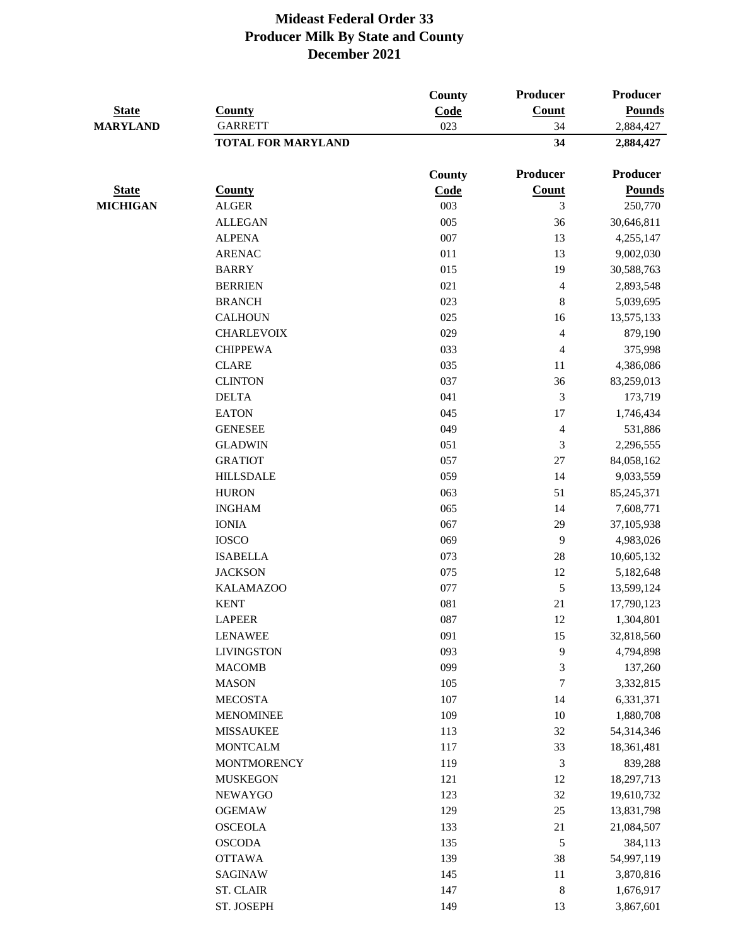| <b>State</b>    | <b>County</b>                               | <b>County</b><br>Code | Producer<br>Count  | Producer<br><b>Pounds</b> |
|-----------------|---------------------------------------------|-----------------------|--------------------|---------------------------|
| <b>MARYLAND</b> | <b>GARRETT</b><br><b>TOTAL FOR MARYLAND</b> | 023                   | 34<br>34           | 2,884,427<br>2,884,427    |
|                 |                                             | <b>County</b>         | Producer           | <b>Producer</b>           |
| <b>State</b>    | <b>County</b>                               | Code                  | Count              | <b>Pounds</b>             |
| <b>MICHIGAN</b> | <b>ALGER</b>                                | 003                   | 3                  | 250,770                   |
|                 | <b>ALLEGAN</b>                              | 005                   | 36                 | 30,646,811                |
|                 | <b>ALPENA</b>                               | 007                   | 13                 | 4,255,147                 |
|                 | <b>ARENAC</b>                               | 011                   | 13                 | 9,002,030                 |
|                 | <b>BARRY</b>                                | 015                   | 19                 | 30,588,763                |
|                 | <b>BERRIEN</b>                              | 021                   | $\overline{4}$     | 2,893,548                 |
|                 | <b>BRANCH</b>                               | 023                   | $\,8\,$            | 5,039,695                 |
|                 | <b>CALHOUN</b>                              | 025                   | 16                 | 13,575,133                |
|                 | <b>CHARLEVOIX</b>                           | 029                   | $\overline{4}$     | 879,190                   |
|                 | <b>CHIPPEWA</b>                             | 033                   | $\overline{4}$     | 375,998                   |
|                 | <b>CLARE</b>                                | 035                   | 11                 | 4,386,086                 |
|                 | <b>CLINTON</b>                              | 037                   | 36                 | 83,259,013                |
|                 | <b>DELTA</b>                                | 041                   | 3                  | 173,719                   |
|                 | <b>EATON</b>                                | 045                   | 17                 | 1,746,434                 |
|                 | <b>GENESEE</b>                              | 049                   | $\overline{4}$     | 531,886                   |
|                 | <b>GLADWIN</b>                              | 051                   | 3                  | 2,296,555                 |
|                 | <b>GRATIOT</b>                              | 057                   | $27\,$             | 84,058,162                |
|                 | <b>HILLSDALE</b>                            | 059                   | 14                 | 9,033,559                 |
|                 | <b>HURON</b>                                | 063                   | 51                 | 85,245,371                |
|                 | <b>INGHAM</b>                               | 065                   | 14                 | 7,608,771                 |
|                 | <b>IONIA</b>                                | 067                   | 29                 | 37,105,938                |
|                 | <b>IOSCO</b>                                | 069                   | 9                  | 4,983,026                 |
|                 | <b>ISABELLA</b>                             | 073                   | 28                 | 10,605,132                |
|                 | <b>JACKSON</b>                              | 075                   | 12                 | 5,182,648                 |
|                 | <b>KALAMAZOO</b>                            | 077                   | $\mathfrak{S}$     | 13,599,124                |
|                 | <b>KENT</b>                                 | 081                   | 21                 | 17,790,123                |
|                 |                                             | 087                   | 12                 | 1,304,801                 |
|                 | <b>LAPEER</b>                               | 091                   |                    |                           |
|                 | <b>LENAWEE</b><br><b>LIVINGSTON</b>         | 093                   | 15<br>$\mathbf{9}$ | 32,818,560                |
|                 | <b>MACOMB</b>                               | 099                   | $\mathfrak{Z}$     | 4,794,898                 |
|                 | <b>MASON</b>                                | 105                   | 7                  | 137,260                   |
|                 | <b>MECOSTA</b>                              | 107                   | 14                 | 3,332,815                 |
|                 |                                             |                       |                    | 6,331,371                 |
|                 | <b>MENOMINEE</b><br><b>MISSAUKEE</b>        | 109<br>113            | 10<br>32           | 1,880,708                 |
|                 |                                             | 117                   |                    | 54,314,346                |
|                 | <b>MONTCALM</b>                             |                       | 33                 | 18,361,481                |
|                 | <b>MONTMORENCY</b>                          | 119                   | $\mathfrak{Z}$     | 839,288                   |
|                 | <b>MUSKEGON</b>                             | 121                   | 12                 | 18,297,713                |
|                 | <b>NEWAYGO</b>                              | 123                   | 32                 | 19,610,732                |
|                 | <b>OGEMAW</b>                               | 129                   | 25                 | 13,831,798                |
|                 | <b>OSCEOLA</b>                              | 133                   | 21                 | 21,084,507                |
|                 | <b>OSCODA</b>                               | 135                   | $\sqrt{5}$         | 384,113                   |
|                 | <b>OTTAWA</b>                               | 139                   | 38                 | 54,997,119                |
|                 | <b>SAGINAW</b>                              | 145<br>147            | 11<br>$\,8\,$      | 3,870,816                 |
|                 | <b>ST. CLAIR</b>                            |                       |                    | 1,676,917                 |
|                 | ST. JOSEPH                                  | 149                   | 13                 | 3,867,601                 |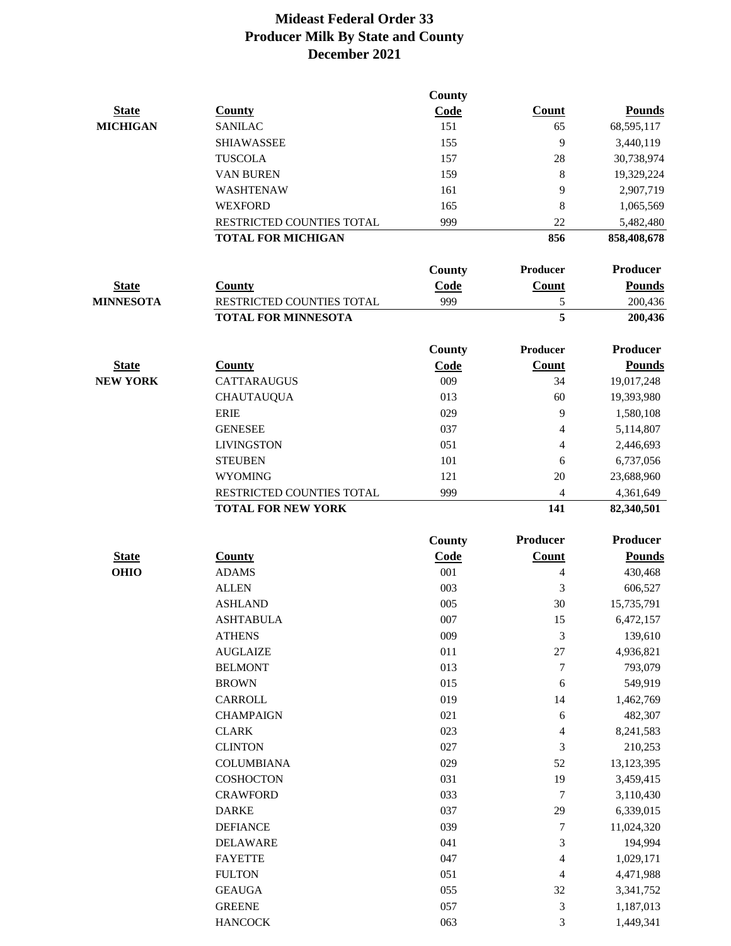|                  |                            | County        |                  |                 |
|------------------|----------------------------|---------------|------------------|-----------------|
| <b>State</b>     | <b>County</b>              | Code          | <b>Count</b>     | <b>Pounds</b>   |
| <b>MICHIGAN</b>  | <b>SANILAC</b>             | 151           | 65               | 68,595,117      |
|                  | <b>SHIAWASSEE</b>          | 155           | 9                | 3,440,119       |
|                  | <b>TUSCOLA</b>             | 157           | 28               | 30,738,974      |
|                  | <b>VAN BUREN</b>           | 159           | 8                | 19,329,224      |
|                  | <b>WASHTENAW</b>           | 161           | 9                | 2,907,719       |
|                  | <b>WEXFORD</b>             | 165           | 8                | 1,065,569       |
|                  | RESTRICTED COUNTIES TOTAL  | 999           | 22               | 5,482,480       |
|                  | <b>TOTAL FOR MICHIGAN</b>  |               | 856              | 858,408,678     |
|                  |                            | County        | Producer         | Producer        |
| <b>State</b>     | <b>County</b>              | Code          | Count            | <b>Pounds</b>   |
| <b>MINNESOTA</b> | RESTRICTED COUNTIES TOTAL  | 999           | 5                | 200,436         |
|                  | <b>TOTAL FOR MINNESOTA</b> |               | 5                | 200,436         |
|                  |                            | <b>County</b> | <b>Producer</b>  | Producer        |
| <b>State</b>     | <b>County</b>              | Code          | <b>Count</b>     | <b>Pounds</b>   |
| <b>NEW YORK</b>  | <b>CATTARAUGUS</b>         | 009           | 34               | 19,017,248      |
|                  | <b>CHAUTAUQUA</b>          | 013           | 60               | 19,393,980      |
|                  | <b>ERIE</b>                | 029           | 9                | 1,580,108       |
|                  | <b>GENESEE</b>             | 037           | $\overline{4}$   | 5,114,807       |
|                  | <b>LIVINGSTON</b>          | 051           | 4                | 2,446,693       |
|                  | <b>STEUBEN</b>             | 101           | 6                | 6,737,056       |
|                  | <b>WYOMING</b>             | 121           | 20               | 23,688,960      |
|                  | RESTRICTED COUNTIES TOTAL  | 999           | 4                | 4,361,649       |
|                  | <b>TOTAL FOR NEW YORK</b>  |               | 141              | 82,340,501      |
|                  |                            | <b>County</b> | Producer         | <b>Producer</b> |
| <b>State</b>     | <b>County</b>              | Code          | Count            | <b>Pounds</b>   |
| <b>OHIO</b>      | <b>ADAMS</b>               | 001           | 4                | 430,468         |
|                  | <b>ALLEN</b>               | 003           | 3                | 606,527         |
|                  | <b>ASHLAND</b>             | 005           | 30               | 15,735,791      |
|                  | <b>ASHTABULA</b>           | 007           | 15               | 6,472,157       |
|                  | <b>ATHENS</b>              | 009           | 3                | 139,610         |
|                  | <b>AUGLAIZE</b>            | 011           | $27\,$           | 4,936,821       |
|                  | <b>BELMONT</b>             | 013           | $\boldsymbol{7}$ | 793,079         |
|                  | <b>BROWN</b>               | 015           | 6                | 549,919         |
|                  | CARROLL                    | 019           | 14               | 1,462,769       |
|                  | <b>CHAMPAIGN</b>           | 021           | $\sqrt{6}$       | 482,307         |
|                  | <b>CLARK</b>               | 023           | 4                | 8,241,583       |
|                  | <b>CLINTON</b>             | 027           | $\mathfrak{Z}$   | 210,253         |
|                  | <b>COLUMBIANA</b>          | 029           | $52\,$           | 13,123,395      |
|                  | <b>COSHOCTON</b>           | 031           | 19               | 3,459,415       |
|                  | <b>CRAWFORD</b>            | 033           | 7                | 3,110,430       |
|                  | <b>DARKE</b>               | 037           | 29               | 6,339,015       |
|                  | <b>DEFIANCE</b>            | 039           | 7                | 11,024,320      |
|                  | <b>DELAWARE</b>            | 041           | $\mathfrak{Z}$   | 194,994         |
|                  | <b>FAYETTE</b>             | 047           | $\overline{4}$   | 1,029,171       |
|                  | <b>FULTON</b>              | 051           | 4                | 4,471,988       |
|                  | <b>GEAUGA</b>              | 055           | 32               | 3,341,752       |
|                  | <b>GREENE</b>              | 057           | $\mathfrak 3$    | 1,187,013       |
|                  | <b>HANCOCK</b>             | 063           | 3                | 1,449,341       |
|                  |                            |               |                  |                 |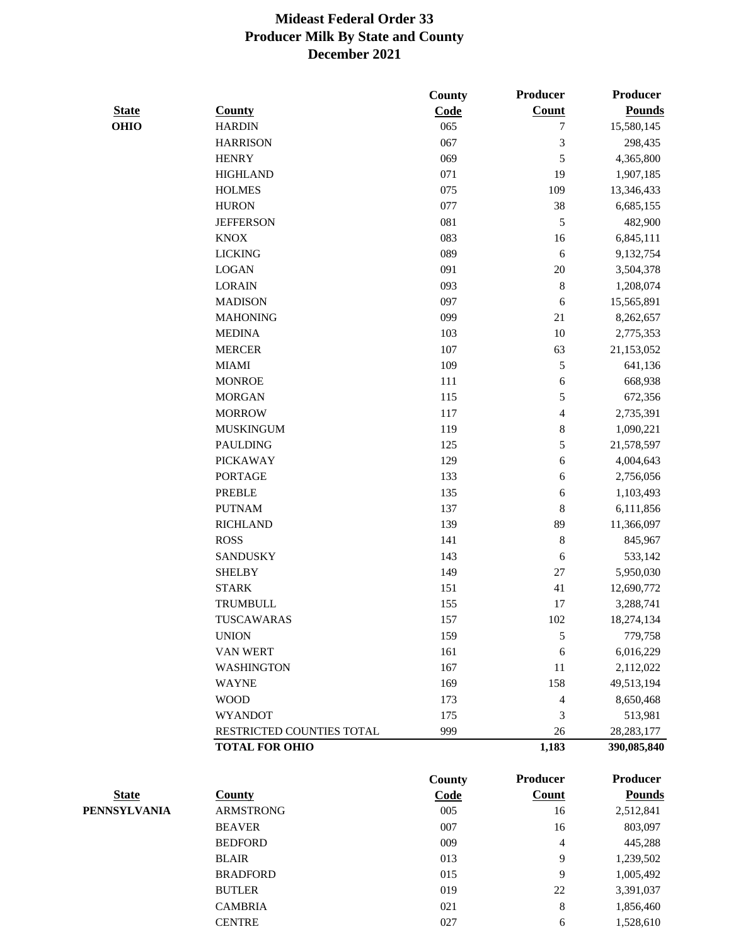|              |                           | <b>County</b> | <b>Producer</b>          | <b>Producer</b> |
|--------------|---------------------------|---------------|--------------------------|-----------------|
| <b>State</b> | <b>County</b>             | Code          | <b>Count</b>             | <b>Pounds</b>   |
| <b>OHIO</b>  | <b>HARDIN</b>             | 065           | 7                        | 15,580,145      |
|              | <b>HARRISON</b>           | 067           | 3                        | 298,435         |
|              | <b>HENRY</b>              | 069           | 5                        | 4,365,800       |
|              | <b>HIGHLAND</b>           | 071           | 19                       | 1,907,185       |
|              | <b>HOLMES</b>             | 075           | 109                      | 13,346,433      |
|              | <b>HURON</b>              | 077           | 38                       | 6,685,155       |
|              | <b>JEFFERSON</b>          | 081           | 5                        | 482,900         |
|              | <b>KNOX</b>               | 083           | 16                       | 6,845,111       |
|              | <b>LICKING</b>            | 089           | $\sqrt{6}$               | 9,132,754       |
|              | <b>LOGAN</b>              | 091           | $20\,$                   | 3,504,378       |
|              | <b>LORAIN</b>             | 093           | $\,8\,$                  | 1,208,074       |
|              | <b>MADISON</b>            | 097           | 6                        | 15,565,891      |
|              | <b>MAHONING</b>           | 099           | 21                       | 8,262,657       |
|              | <b>MEDINA</b>             | 103           | $10\,$                   | 2,775,353       |
|              | <b>MERCER</b>             | 107           | 63                       | 21,153,052      |
|              | <b>MIAMI</b>              | 109           | 5                        | 641,136         |
|              | <b>MONROE</b>             | 111           | 6                        | 668,938         |
|              | <b>MORGAN</b>             | 115           | 5                        | 672,356         |
|              | <b>MORROW</b>             | 117           | $\overline{\mathcal{L}}$ | 2,735,391       |
|              | <b>MUSKINGUM</b>          | 119           | $\,8\,$                  | 1,090,221       |
|              | <b>PAULDING</b>           | 125           | 5                        | 21,578,597      |
|              | <b>PICKAWAY</b>           | 129           | 6                        | 4,004,643       |
|              | <b>PORTAGE</b>            | 133           | 6                        | 2,756,056       |
|              | <b>PREBLE</b>             | 135           | 6                        | 1,103,493       |
|              | <b>PUTNAM</b>             | 137           | $\,8\,$                  | 6,111,856       |
|              | <b>RICHLAND</b>           | 139           | 89                       | 11,366,097      |
|              | <b>ROSS</b>               | 141           | $\,8\,$                  | 845,967         |
|              | <b>SANDUSKY</b>           | 143           | 6                        | 533,142         |
|              | <b>SHELBY</b>             | 149           | $27\,$                   | 5,950,030       |
|              | <b>STARK</b>              | 151           | 41                       | 12,690,772      |
|              | TRUMBULL                  | 155           | 17                       | 3,288,741       |
|              | TUSCAWARAS                | 157           | 102                      | 18,274,134      |
|              | <b>UNION</b>              | 159           | $\sqrt{5}$               | 779,758         |
|              | <b>VAN WERT</b>           | 161           | 6                        | 6,016,229       |
|              | <b>WASHINGTON</b>         | 167           | 11                       | 2,112,022       |
|              | <b>WAYNE</b>              | 169           | 158                      | 49,513,194      |
|              | <b>WOOD</b>               | 173           | 4                        | 8,650,468       |
|              | <b>WYANDOT</b>            | 175           | 3                        | 513,981         |
|              | RESTRICTED COUNTIES TOTAL | 999           | 26                       | 28, 283, 177    |
|              | <b>TOTAL FOR OHIO</b>     |               | 1,183                    | 390,085,840     |
|              |                           | County        | <b>Producer</b>          | <b>Producer</b> |
| <b>State</b> | <b>County</b>             | Code          | <b>Count</b>             | <b>Pounds</b>   |
| PENNSYLVANIA | <b>ARMSTRONG</b>          | 005           | 16                       | 2,512,841       |
|              | <b>BEAVER</b>             | 007           | 16                       | 803,097         |

| <b>ARMSTRONG</b> | 005 | 16 | 2,512,841 |
|------------------|-----|----|-----------|
| <b>BEAVER</b>    | 007 | 16 | 803,097   |
| <b>BEDFORD</b>   | 009 | 4  | 445,288   |
| <b>BLAIR</b>     | 013 | 9  | 1,239,502 |
| <b>BRADFORD</b>  | 015 | 9  | 1,005,492 |
| <b>BUTLER</b>    | 019 | 22 | 3,391,037 |
| <b>CAMBRIA</b>   | 021 | 8  | 1,856,460 |
| <b>CENTRE</b>    | 027 | 6  | 1,528,610 |
|                  |     |    |           |